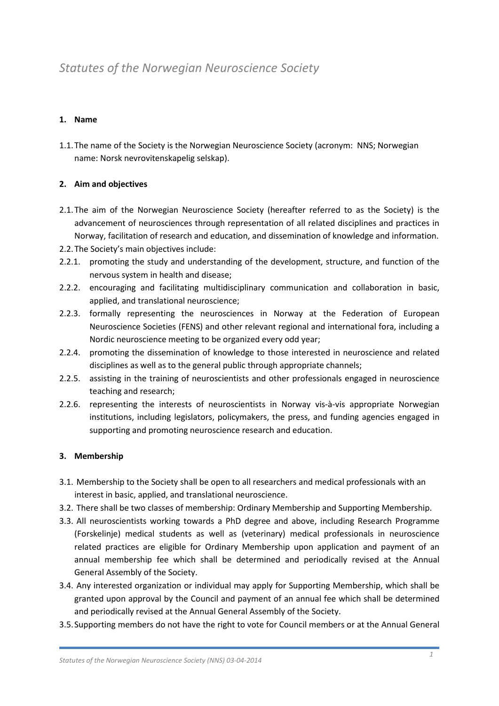# *Statutes of the Norwegian Neuroscience Society*

## **1. Name**

1.1.The name of the Society is the Norwegian Neuroscience Society (acronym: NNS; Norwegian name: Norsk nevrovitenskapelig selskap).

### **2. Aim and objectives**

- 2.1.The aim of the Norwegian Neuroscience Society (hereafter referred to as the Society) is the advancement of neurosciences through representation of all related disciplines and practices in Norway, facilitation of research and education, and dissemination of knowledge and information.
- 2.2.The Society's main objectives include:
- 2.2.1. promoting the study and understanding of the development, structure, and function of the nervous system in health and disease;
- 2.2.2. encouraging and facilitating multidisciplinary communication and collaboration in basic, applied, and translational neuroscience;
- 2.2.3. formally representing the neurosciences in Norway at the Federation of European Neuroscience Societies (FENS) and other relevant regional and international fora, including a Nordic neuroscience meeting to be organized every odd year;
- 2.2.4. promoting the dissemination of knowledge to those interested in neuroscience and related disciplines as well as to the general public through appropriate channels;
- 2.2.5. assisting in the training of neuroscientists and other professionals engaged in neuroscience teaching and research;
- 2.2.6. representing the interests of neuroscientists in Norway vis-à-vis appropriate Norwegian institutions, including legislators, policymakers, the press, and funding agencies engaged in supporting and promoting neuroscience research and education.

### **3. Membership**

- 3.1. Membership to the Society shall be open to all researchers and medical professionals with an interest in basic, applied, and translational neuroscience.
- 3.2. There shall be two classes of membership: Ordinary Membership and Supporting Membership.
- 3.3. All neuroscientists working towards a PhD degree and above, including Research Programme (Forskelinje) medical students as well as (veterinary) medical professionals in neuroscience related practices are eligible for Ordinary Membership upon application and payment of an annual membership fee which shall be determined and periodically revised at the Annual General Assembly of the Society.
- 3.4. Any interested organization or individual may apply for Supporting Membership, which shall be granted upon approval by the Council and payment of an annual fee which shall be determined and periodically revised at the Annual General Assembly of the Society.
- 3.5.Supporting members do not have the right to vote for Council members or at the Annual General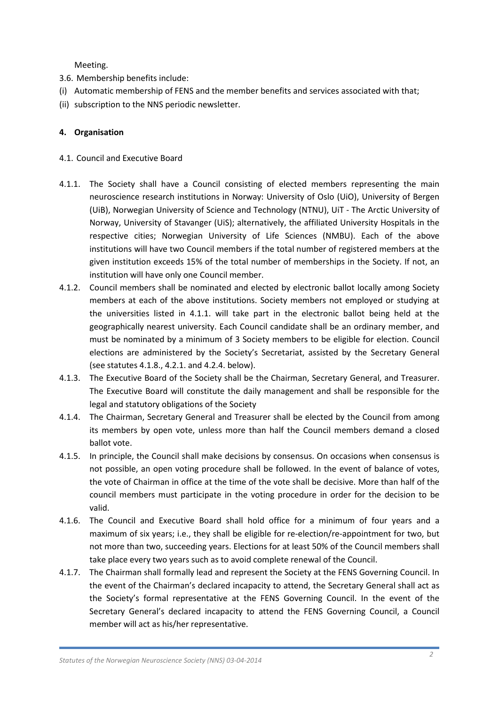Meeting.

- 3.6. Membership benefits include:
- (i) Automatic membership of FENS and the member benefits and services associated with that;
- (ii) subscription to the NNS periodic newsletter.

### **4. Organisation**

#### 4.1. Council and Executive Board

- 4.1.1. The Society shall have a Council consisting of elected members representing the main neuroscience research institutions in Norway: University of Oslo (UiO), University of Bergen (UiB), Norwegian University of Science and Technology (NTNU), UiT - The Arctic University of Norway, University of Stavanger (UiS); alternatively, the affiliated University Hospitals in the respective cities; Norwegian University of Life Sciences (NMBU). Each of the above institutions will have two Council members if the total number of registered members at the given institution exceeds 15% of the total number of memberships in the Society. If not, an institution will have only one Council member.
- 4.1.2. Council members shall be nominated and elected by electronic ballot locally among Society members at each of the above institutions. Society members not employed or studying at the universities listed in 4.1.1. will take part in the electronic ballot being held at the geographically nearest university. Each Council candidate shall be an ordinary member, and must be nominated by a minimum of 3 Society members to be eligible for election. Council elections are administered by the Society's Secretariat, assisted by the Secretary General (see statutes 4.1.8., 4.2.1. and 4.2.4. below).
- 4.1.3. The Executive Board of the Society shall be the Chairman, Secretary General, and Treasurer. The Executive Board will constitute the daily management and shall be responsible for the legal and statutory obligations of the Society
- 4.1.4. The Chairman, Secretary General and Treasurer shall be elected by the Council from among its members by open vote, unless more than half the Council members demand a closed ballot vote.
- 4.1.5. In principle, the Council shall make decisions by consensus. On occasions when consensus is not possible, an open voting procedure shall be followed. In the event of balance of votes, the vote of Chairman in office at the time of the vote shall be decisive. More than half of the council members must participate in the voting procedure in order for the decision to be valid.
- 4.1.6. The Council and Executive Board shall hold office for a minimum of four years and a maximum of six years; i.e., they shall be eligible for re-election/re-appointment for two, but not more than two, succeeding years. Elections for at least 50% of the Council members shall take place every two years such as to avoid complete renewal of the Council.
- 4.1.7. The Chairman shall formally lead and represent the Society at the FENS Governing Council. In the event of the Chairman's declared incapacity to attend, the Secretary General shall act as the Society's formal representative at the FENS Governing Council. In the event of the Secretary General's declared incapacity to attend the FENS Governing Council, a Council member will act as his/her representative.